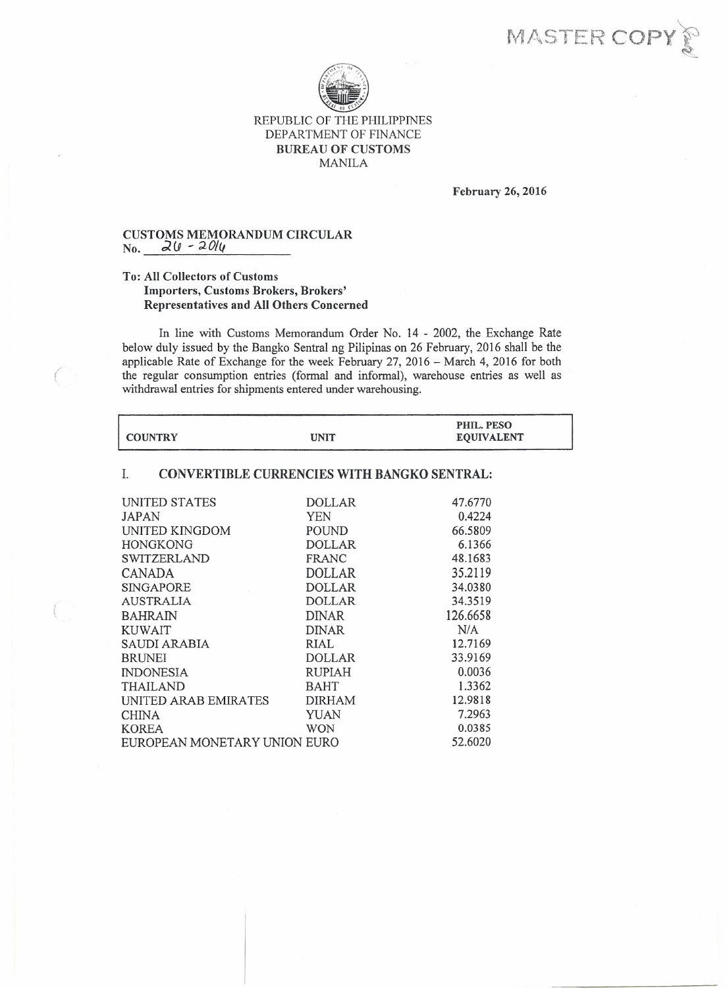MASTER COP



February 26, 2016

## CUSTOMS MEMORANDUM CIRCULAR  $\frac{1}{N_0}$ ,  $\frac{1}{2}(l - 20l_1)$

 $\big($ 

## To: All Collectors of Customs Importers, Customs Brokers, Brokers' Representatives and All Others Concerned

In line with Customs Memorandum Order No. 14 - 2002, the Exchange Rate below duly issued by the Bangko Sentral ng Pilipinas on 26 February, 2016 shall be the applicable Rate of Exchange for the week February 27, 2016 - March 4, 2016 for both the regular consumption entries (formal and informal), warehouse entries as well as withdrawal entries for shipments entered under warehousing.

|                |             | PHIL. PESO        |
|----------------|-------------|-------------------|
| <b>COUNTRY</b> | <b>UNIT</b> | <b>EQUIVALENT</b> |

## 1. CONVERTIBLE CURRENCIES WITH BANGKO SENTRAL:

| <b>INITED STATES</b>         | <b>DOLLAR</b> | 47.6770  |
|------------------------------|---------------|----------|
| JAPAN                        | YEN           | 0.4224   |
| UNITED KINGDOM               | POUND         | 66.5809  |
| <b>HONGKONG</b>              | <b>DOLLAR</b> | 6.1366   |
| SWITZERLAND                  | FRANC         | 48.1683  |
| CANADA                       | <b>DOLLAR</b> | 35.2119  |
| <b>SINGAPORE</b>             | <b>DOLLAR</b> | 34.0380  |
| <b>AUSTRALIA</b>             | <b>DOLLAR</b> | 34.3519  |
| <b>BAHRAIN</b>               | <b>DINAR</b>  | 126.6658 |
| KUWAIT                       | <b>DINAR</b>  | N/A      |
| SAUDI ARABIA                 | RIAL.         | 12.7169  |
| <b>BRUNEI</b>                | <b>DOLLAR</b> | 33.9169  |
| <b>INDONESIA</b>             | RUPIAH        | 0.0036   |
| <b>THAILAND</b>              | <b>BAHT</b>   | 1.3362   |
| UNITED ARAB EMIRATES         | DIRHAM        | 12.9818  |
| <b>CHINA</b>                 | YUAN          | 7.2963   |
| <b>KOREA</b>                 | <b>WON</b>    | 0.0385   |
| EUROPEAN MONETARY UNION EURO | 52.6020       |          |